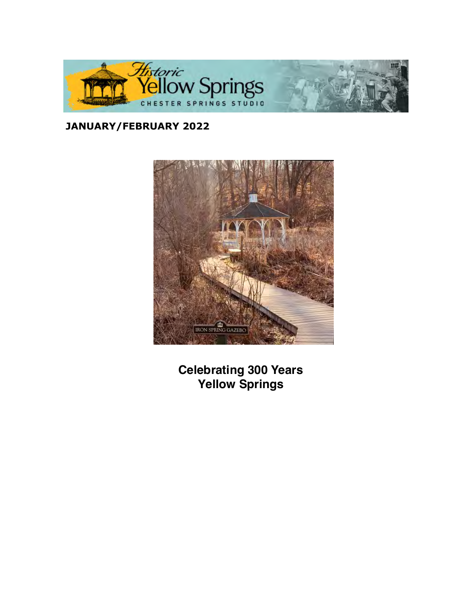

# **JANUARY/FEBRUARY 2022**



**Celebrating 300 Years Yellow Springs**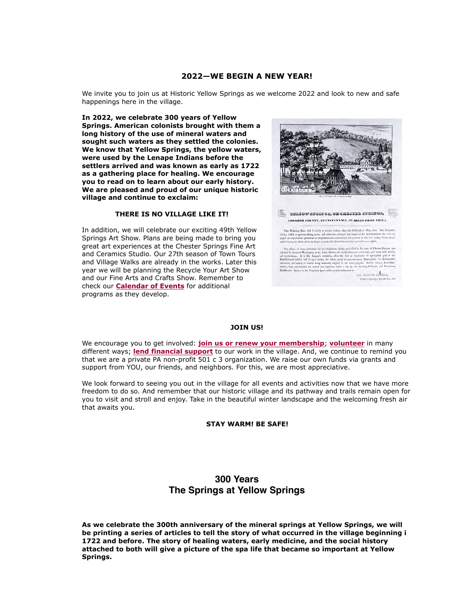### **2022—WE BEGIN A NEW YEAR!**

We invite you to join us at Historic Yellow Springs as we welcome 2022 and look to new and safe happenings here in the village.

**In 2022, we celebrate 300 years of Yellow Springs. American colonists brought with them a long history of the use of mineral waters and sought such waters as they settled the colonies. We know that Yellow Springs, the yellow waters, were used by the Lenape Indians before the settlers arrived and was known as early as 1722 as a gathering place for healing. We encourage you to read on to learn about our early history. We are pleased and proud of our unique historic village and continue to exclaim:**

#### **THERE IS NO VILLAGE LIKE IT!**

In addition, we will celebrate our exciting 49th Yellow Springs Art Show. Plans are being made to bring you great art experiences at the Chester Springs Fine Art and Ceramics Studio. Our 27th season of Town Tours and Village Walks are already in the works. Later this year we will be planning the Recycle Your Art Show and our Fine Arts and Crafts Show. Remember to check our **Calendar of Events** for additional programs as they develop.



The while of spendings, on children spendings, CHESTER COUNTY, PENNSYLVANIA, 32 MILES FROM PHILA.

This Watsing Place will be restly to receive visitors after the Fifteenth of May, Lust. This Degride law<br>Ly gas and all a spotons alling pools, and otherwise calculated all in<br>prevailing fields and the Bobbles comparison

so long relabored for its Chalyboats Baths, meaning in the curr of Ch from , we have the big intervals of the Kaliykans line<br>big measurement of the case will be complete the case of the state<br>of the case of the complete the case of the case of the case of<br> $\sim$  10 km/s (also state) and the c

to move show **Chater Springs, Chath** 

#### **JOIN US!**

We encourage you to get involved: **join us [or renew your membership](https://cts.vresp.com/c/?HistoricYellowSpring/d0eb0c6daf/TEST/162c5a1a65)**; **[volunteer](https://cts.vresp.com/c/?HistoricYellowSpring/d0eb0c6daf/TEST/23ff479dee)** in many different ways; **[lend financial support](https://cts.vresp.com/c/?HistoricYellowSpring/d0eb0c6daf/TEST/ca19bbc9a5)** to our work in the village. And, we continue to remind you that we are a private PA non-profit 501 c 3 organization. We raise our own funds via grants and support from YOU, our friends, and neighbors. For this, we are most appreciative.

We look forward to seeing you out in the village for all events and activities now that we have more freedom to do so. And remember that our historic village and its pathway and trails remain open for you to visit and stroll and enjoy. Take in the beautiful winter landscape and the welcoming fresh air that awaits you.

**STAY WARM! BE SAFE!**

## **300 Years The Springs at Yellow Springs**

**As we celebrate the 300th anniversary of the mineral springs at Yellow Springs, we will be printing a series of articles to tell the story of what occurred in the village beginning in 1722 and before. The story of healing waters, early medicine, and the social history attached to both will give a picture of the spa life that became so important at Yellow Springs.**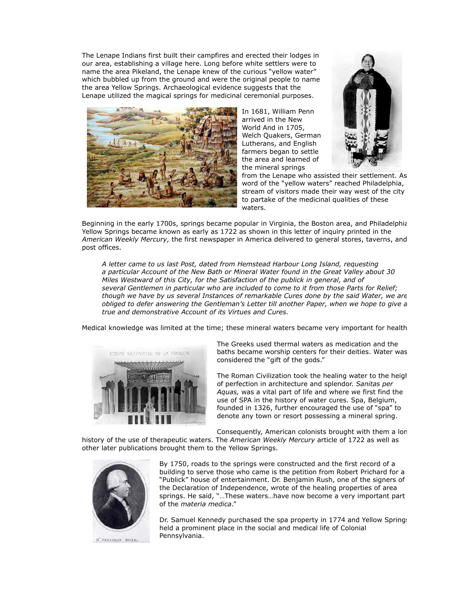The Lenape Indians first built their campfires and erected their lodges in our area, establishing a village here. Long before white settlers were to name the area Pikeland, the Lenape knew of the curious "yellow water" which bubbled up from the ground and were the original people to name the area Yellow Springs. Archaeological evidence suggests that the Lenape utilized the magical springs for medicinal ceremonial purposes.



In 1681, William Penn arrived in the New World And in 1705, Welch Quakers, German Lutherans, and English farmers began to settle the area and learned of the mineral springs



from the Lenape who assisted their settlement. As word of the "yellow waters" reached Philadelphia, stream of visitors made their way west of the city to partake of the medicinal qualities of these waters.

Beginning in the early 1700s, springs became popular in Virginia, the Boston area, and Philadelphia. Yellow Springs became known as early as 1722 as shown in this letter of inquiry printed in the *American Weekly Mercury,* the first newspaper in America delivered to general stores, taverns, and post offices.

*A letter came to us last Post, dated from Hemstead Harbour Long Island, requesting a particular Account of the New Bath or Mineral Water found in the Great Valley about 30 Miles Westward of this City, for the Satisfaction of the publick in general, and of several Gentlemen in particular who are included to come to it from those Parts for Relief; though we have by us several Instances of remarkable Cures done by the said Water, we are obliged to defer answering the Gentleman's Letter till another Paper, when we hope to give a true and demonstrative Account of its Virtues and Cures.*

Medical knowledge was limited at the time; these mineral waters became very important for health.



The Greeks used thermal waters as medication and the baths became worship centers for their deities. Water was considered the "gift of the gods."

The Roman Civilization took the healing water to the height of perfection in architecture and splendor. *Sanitas per Aquas,* was a vital part of life and where we first find the use of SPA in the history of water cures. Spa, Belgium, founded in 1326, further encouraged the use of "spa" to denote any town or resort possessing a mineral spring.

Consequently, American colonists brought with them a long

history of the use of therapeutic waters. The *American Weekly Mercury* article of 1722 as well as other later publications brought them to the Yellow Springs.



D. BESJAMAN RUSH,

By 1750, roads to the springs were constructed and the first record of a building to serve those who came is the petition from Robert Prichard for a "Publick" house of entertainment. Dr. Benjamin Rush, one of the signers of the Declaration of Independence, wrote of the healing properties of area springs. He said, "…These waters…have now become a very important part of the *materia medica*."

Dr. Samuel Kennedy purchased the spa property in 1774 and Yellow Springs held a prominent place in the social and medical life of Colonial Pennsylvania.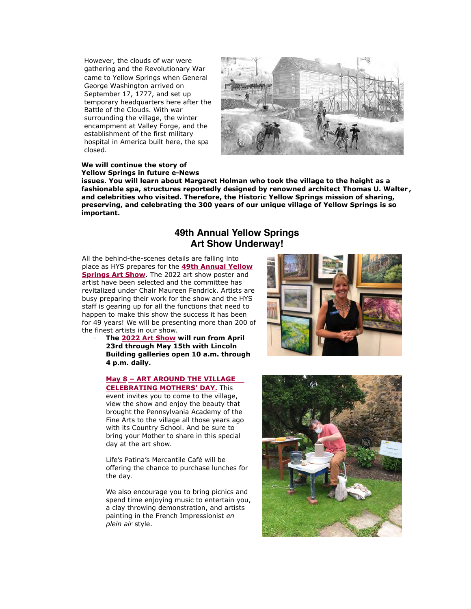However, the clouds of war were gathering and the Revolutionary War came to Yellow Springs when General George Washington arrived on September 17, 1777, and set up temporary headquarters here after the Battle of the Clouds. With war surrounding the village, the winter encampment at Valley Forge, and the establishment of the first military hospital in America built here, the spa closed.



#### **We will continue the story of Yellow Springs in future e-News**

**issues. You will learn about Margaret Holman who took the village to the height as a fashionable spa, structures reportedly designed by renowned architect Thomas U. Walter , and celebrities who visited. Therefore, the Historic Yellow Springs mission of sharing, preserving, and celebrating the 300 years of our unique village of Yellow Springs is so important.**

## **49th Annual Yellow Springs Art Show Underway!**

All the behind-the-scenes details are falling into place as HYS prepares for the **49th Annual Yellow Springs Art Show**. The 2022 art show poster and [artist have been selected and the committee has](https://cts.vresp.com/c/?HistoricYellowSpring/d0eb0c6daf/TEST/b6c2a8e86a) revitalized under Chair Maureen Fendrick. Artists are busy preparing their work for the show and the HYS staff is gearing up for all the functions that need to happen to make this show the success it has been for 49 years! We will be presenting more than 200 of the finest artists in our show.

· **The [2022 Art Show](https://cts.vresp.com/c/?HistoricYellowSpring/d0eb0c6daf/TEST/25122bc69f) will run from April 23rd through May 15th with Lincoln Building galleries open 10 a.m. through 4 p.m. daily.**

### **May 8 – ART AROUND THE VILLAGE [CE](https://cts.vresp.com/c/?HistoricYellowSpring/d0eb0c6daf/TEST/5a17608a18/cid=20225)LEBRATING MOTHERS' DAY.** This

[event invites you to come to the village,](https://cts.vresp.com/c/?HistoricYellowSpring/d0eb0c6daf/TEST/5a17608a18/cid=20225) view the show and enjoy the beauty that brought the Pennsylvania Academy of the Fine Arts to the village all those years ago with its Country School. And be sure to bring your Mother to share in this special day at the art show.

Life's Patina's Mercantile Café will be offering the chance to purchase lunches for the day.

We also encourage you to bring picnics and spend time enjoying music to entertain you, a clay throwing demonstration, and artists painting in the French Impressionist *en plein air* style.



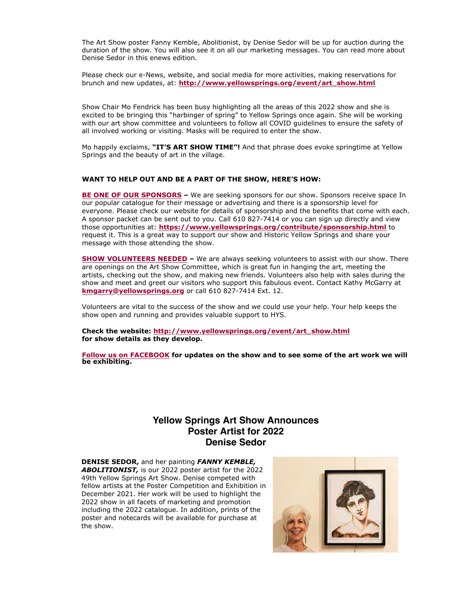The Art Show poster Fanny Kemble, Abolitionist, by Denise Sedor will be up for auction during the duration of the show. You will also see it on all our marketing messages. You can read more about Denise Sedor in this enews edition.

Please check our e-News, website, and social media for more activities, making reservations for brunch and new updates, at: **[http://www.yellowsprings.org/event/art\\_show.html](https://cts.vresp.com/c/?HistoricYellowSpring/d0eb0c6daf/TEST/055d93c7f9)**

Show Chair Mo Fendrick has been busy highlighting all the areas of this 2022 show and she is excited to be bringing this "harbinger of spring" to Yellow Springs once again. She will be working with our art show committee and volunteers to follow all COVID guidelines to ensure the safety of all involved working or visiting. Masks will be required to enter the show.

Mo happily exclaims, **"IT'S ART SHOW TIME"!** And that phrase does evoke springtime at Yellow Springs and the beauty of art in the village.

### **WANT TO HELP OUT AND BE A PART OF THE SHOW, HERE'S HOW:**

**[BE ONE OF OUR SPONSORS](https://cts.vresp.com/c/?HistoricYellowSpring/d0eb0c6daf/TEST/c6a782ac38) –** We are seeking sponsors for our show. Sponsors receive space In our popular catalogue for their message or advertising and there is a sponsorship level for everyone. Please check our website for details of sponsorship and the benefits that come with each. A sponsor packet can be sent out to you. Call 610 827-7414 or you can sign up directly and view those opportunities at: **[https://www.yellowsprings.org/contribute/sponsorship.html](https://cts.vresp.com/c/?HistoricYellowSpring/d0eb0c6daf/TEST/6bb289d026)** to request it. This is a great way to support our show and Historic Yellow Springs and share your message with those attending the show.

**[SHOW VOLUNTEERS NEEDED](https://cts.vresp.com/c/?HistoricYellowSpring/d0eb0c6daf/TEST/cfce3a5bd0) –** We are always seeking volunteers to assist with our show. There are openings on the Art Show Committee, which is great fun in hanging the art, meeting the artists, checking out the show, and making new friends. Volunteers also help with sales during the show and meet and greet our visitors who support this fabulous event. Contact Kathy McGarry at **[kmgarry@yellowsprings.org](mailto:kmgarry@yellowsprings.org)** or call 610 827-7414 Ext. 12.

Volunteers are vital to the success of the show and we could use your help. Your help keeps the show open and running and provides valuable support to HYS.

**Check the website: [http://www.yellowsprings.org/event/art\\_show.html](https://cts.vresp.com/c/?HistoricYellowSpring/d0eb0c6daf/TEST/b02af755ed) for show details as they develop.**

**[Follow us on FACEBOOK](https://cts.vresp.com/c/?HistoricYellowSpring/d0eb0c6daf/TEST/366c191c99) for updates on the show and to see some of the art work we will be exhibiting.**

## **Yellow Springs Art Show Announces Poster Artist for 2022 Denise Sedor**

**DENISE SEDOR,** and her painting *FANNY KEMBLE, ABOLITIONIST,* is our 2022 poster artist for the 2022 49th Yellow Springs Art Show. Denise competed with fellow artists at the Poster Competition and Exhibition in December 2021. Her work will be used to highlight the 2022 show in all facets of marketing and promotion including the 2022 catalogue. In addition, prints of the poster and notecards will be available for purchase at the show.

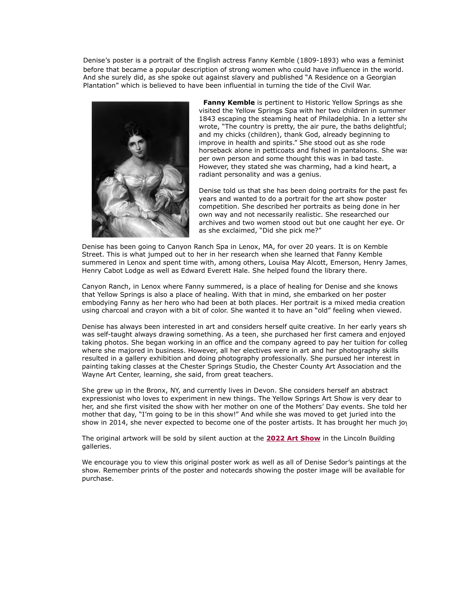Denise's poster is a portrait of the English actress Fanny Kemble (1809-1893) who was a feminist before that became a popular description of strong women who could have influence in the world. And she surely did, as she spoke out against slavery and published "A Residence on a Georgian Plantation" which is believed to have been influential in turning the tide of the Civil War.



 **Fanny Kemble** is pertinent to Historic Yellow Springs as she visited the Yellow Springs Spa with her two children in summer 1843 escaping the steaming heat of Philadelphia. In a letter she wrote, "The country is pretty, the air pure, the baths delightful; and my chicks (children), thank God, already beginning to improve in health and spirits." She stood out as she rode horseback alone in petticoats and fished in pantaloons. She was per own person and some thought this was in bad taste. However, they stated she was charming, had a kind heart, a radiant personality and was a genius.

Denise told us that she has been doing portraits for the past fey years and wanted to do a portrait for the art show poster competition. She described her portraits as being done in her own way and not necessarily realistic. She researched our archives and two women stood out but one caught her eye. Or as she exclaimed, "Did she pick me?"

Denise has been going to Canyon Ranch Spa in Lenox, MA, for over 20 years. It is on Kemble Street. This is what jumped out to her in her research when she learned that Fanny Kemble summered in Lenox and spent time with, among others, Louisa May Alcott, Emerson, Henry James, Henry Cabot Lodge as well as Edward Everett Hale. She helped found the library there.

Canyon Ranch, in Lenox where Fanny summered, is a place of healing for Denise and she knows that Yellow Springs is also a place of healing. With that in mind, she embarked on her poster embodying Fanny as her hero who had been at both places. Her portrait is a mixed media creation using charcoal and crayon with a bit of color. She wanted it to have an "old" feeling when viewed.

Denise has always been interested in art and considers herself quite creative. In her early years she was self-taught always drawing something. As a teen, she purchased her first camera and enjoyed taking photos. She began working in an office and the company agreed to pay her tuition for colleg where she majored in business. However, all her electives were in art and her photography skills resulted in a gallery exhibition and doing photography professionally. She pursued her interest in painting taking classes at the Chester Springs Studio, the Chester County Art Association and the Wayne Art Center, learning, she said, from great teachers.

She grew up in the Bronx, NY, and currently lives in Devon. She considers herself an abstract expressionist who loves to experiment in new things. The Yellow Springs Art Show is very dear to her, and she first visited the show with her mother on one of the Mothers' Day events. She told her mother that day, "I'm going to be in this show!" And while she was moved to get juried into the show in 2014, she never expected to become one of the poster artists. It has brought her much joy.

The original artwork will be sold by silent auction at the **[2022 Art Show](https://cts.vresp.com/c/?HistoricYellowSpring/d0eb0c6daf/TEST/ada71dc1cc)** in the Lincoln Building galleries.

We encourage you to view this original poster work as well as all of Denise Sedor's paintings at the show. Remember prints of the poster and notecards showing the poster image will be available for purchase.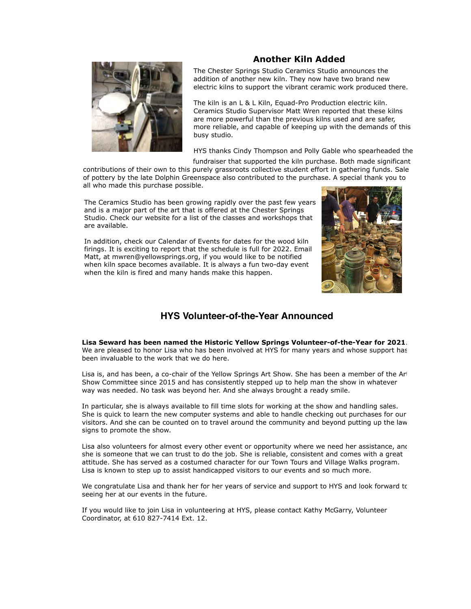## **Another Kiln Added**



The Chester Springs Studio Ceramics Studio announces the addition of another new kiln. They now have two brand new electric kilns to support the vibrant ceramic work produced there.

The kiln is an L & L Kiln, Equad-Pro Production electric kiln. Ceramics Studio Supervisor Matt Wren reported that these kilns are more powerful than the previous kilns used and are safer, more reliable, and capable of keeping up with the demands of this busy studio.

HYS thanks Cindy Thompson and Polly Gable who spearheaded the

fundraiser that supported the kiln purchase. Both made significant contributions of their own to this purely grassroots collective student effort in gathering funds. Sale of pottery by the late Dolphin Greenspace also contributed to the purchase. A special thank you to all who made this purchase possible.

The Ceramics Studio has been growing rapidly over the past few years and is a major part of the art that is offered at the Chester Springs Studio. Check our website for a list of the classes and workshops that are available.

In addition, check our Calendar of Events for dates for the wood kiln firings. It is exciting to report that the schedule is full for 2022. Email Matt, at mwren@yellowsprings.org, if you would like to be notified when kiln space becomes available. It is always a fun two-day event when the kiln is fired and many hands make this happen.



# **HYS Volunteer-of-the-Year Announced**

**Lisa Seward has been named the Historic Yellow Springs Volunteer-of-the-Year for 2021**. We are pleased to honor Lisa who has been involved at HYS for many years and whose support has been invaluable to the work that we do here.

Lisa is, and has been, a co-chair of the Yellow Springs Art Show. She has been a member of the Art Show Committee since 2015 and has consistently stepped up to help man the show in whatever way was needed. No task was beyond her. And she always brought a ready smile.

In particular, she is always available to fill time slots for working at the show and handling sales. She is quick to learn the new computer systems and able to handle checking out purchases for our visitors. And she can be counted on to travel around the community and beyond putting up the law signs to promote the show.

Lisa also volunteers for almost every other event or opportunity where we need her assistance, and she is someone that we can trust to do the job. She is reliable, consistent and comes with a great attitude. She has served as a costumed character for our Town Tours and Village Walks program. Lisa is known to step up to assist handicapped visitors to our events and so much more.

We congratulate Lisa and thank her for her years of service and support to HYS and look forward to seeing her at our events in the future.

If you would like to join Lisa in volunteering at HYS, please contact Kathy McGarry, Volunteer Coordinator, at 610 827-7414 Ext. 12.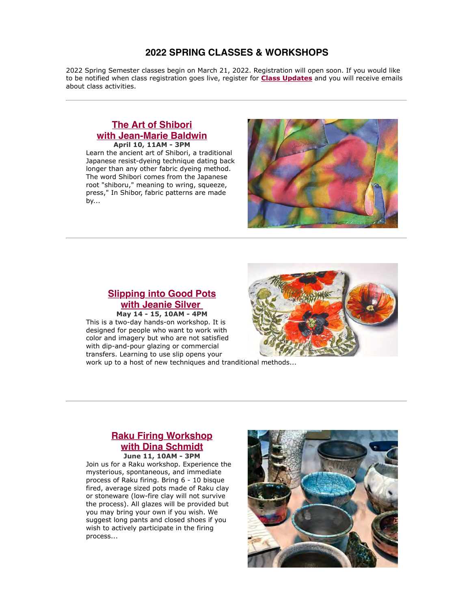## **2022 SPRING CLASSES & WORKSHOPS**

2022 Spring Semester classes begin on March 21, 2022. Registration will open soon. If you would like to be notified when class registration goes live, register for **[Class Updates](https://cts.vresp.com/c/?HistoricYellowSpring/d0eb0c6daf/TEST/02a5ee8dc4)** and you will receive emails about class activities.

### **The Art of Shibori [with Jean-Marie Baldwin](https://cts.vresp.com/c/?HistoricYellowSpring/d0eb0c6daf/TEST/c99ef1b4cb) April 10, 11AM - 3PM**

Learn the ancient art of Shibori, a traditional Japanese resist-dyeing technique dating back longer than any other fabric dyeing method. The word Shibori comes from the Japanese root "shiboru," meaning to wring, squeeze, press," In Shibor, fabric patterns are made by...



# **[Slipping into Good Pots](https://cts.vresp.com/c/?HistoricYellowSpring/d0eb0c6daf/TEST/c12b93b91d) with Jeanie Silver**

**May 14 - 15, 10AM - 4PM** This is a two-day hands-on workshop. It is designed for people who want to work with color and imagery but who are not satisfied with dip-and-pour glazing or commercial transfers. Learning to use slip opens your

work up to a host of new techniques and tranditional methods...

### **[Raku Firing Workshop](https://cts.vresp.com/c/?HistoricYellowSpring/d0eb0c6daf/TEST/3c833d9177) with Dina Schmidt June 11, 10AM - 3PM**

Join us for a Raku workshop. Experience the mysterious, spontaneous, and immediate process of Raku firing. Bring 6 - 10 bisque fired, average sized pots made of Raku clay or stoneware (low-fire clay will not survive the process). All glazes will be provided but you may bring your own if you wish. We suggest long pants and closed shoes if you wish to actively participate in the firing process...

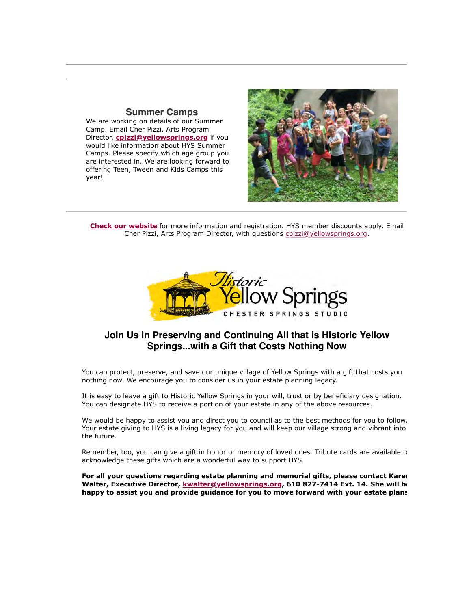## **Summer Camps**

We are working on details of our Summer Camp. Email Cher Pizzi, Arts Program Director, **[cpizzi@yellowsprings.org](https://cts.vresp.com/c/?HistoricYellowSpring/d0eb0c6daf/TEST/5304ac5233)** if you would like information about HYS Summer Camps. Please specify which age group you are interested in. We are looking forward to offering Teen, Tween and Kids Camps this year!



**[Check our website](https://cts.vresp.com/c/?HistoricYellowSpring/d0eb0c6daf/TEST/360945b333)** for more information and registration. HYS member discounts apply. Email Cher Pizzi, Arts Program Director, with questions [cpizzi@yellowsprings.org](mailto:cpizzi@yellowsprings.org).



## **Join Us in Preserving and Continuing All that is Historic Yellow Springs...with a Gift that Costs Nothing Now**

You can protect, preserve, and save our unique village of Yellow Springs with a gift that costs you nothing now. We encourage you to consider us in your estate planning legacy.

It is easy to leave a gift to Historic Yellow Springs in your will, trust or by beneficiary designation. You can designate HYS to receive a portion of your estate in any of the above resources.

We would be happy to assist you and direct you to council as to the best methods for you to follow. Your estate giving to HYS is a living legacy for you and will keep our village strong and vibrant into the future.

Remember, too, you can give a gift in honor or memory of loved ones. Tribute cards are available to acknowledge these gifts which are a wonderful way to support HYS.

**For all your questions regarding estate planning and memorial gifts, please contact Karen Walter, Executive Director, [kwalter@yellowsprings.org,](mailto:kwalter@yellowsprings.org) 610 827-7414 Ext. 14. She will be happy to assist you and provide guidance for you to move forward with your estate plans.**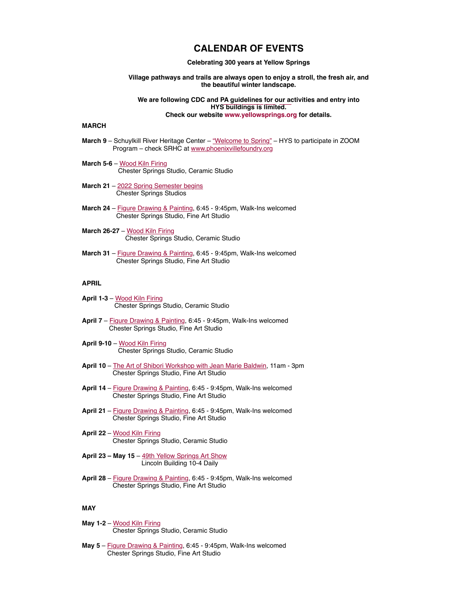### **CALENDAR OF EVENTS**

**Celebrating 300 years at Yellow Springs**

**Village pathways and trails are always open to enjoy a stroll, the fresh air, and the beautiful winter landscape.**

**We are following CDC and [PA guidelines for our act](https://cts.vresp.com/c/?HistoricYellowSpring/d0eb0c6daf/TEST/50b69c50cf)ivities and entry into HYS buildings is limited. Check our website www.yellowsprings.org for details.**

#### **MARCH**

- **March 9**  Schuylkill River Heritage Center ["Welcome to Spring"](https://cts.vresp.com/c/?HistoricYellowSpring/d0eb0c6daf/TEST/51dcd0e96e) HYS to participate in ZOOM Program – check SRHC at [www.phoenixvillefoundry.org](https://cts.vresp.com/c/?HistoricYellowSpring/d0eb0c6daf/TEST/c08c82277a)
- **March 5-6**  [Wood Kiln Firing](https://cts.vresp.com/c/?HistoricYellowSpring/d0eb0c6daf/TEST/f1012cb478) Chester Springs Studio, Ceramic Studio
- March 21 [2022 Spring Semester begins](https://cts.vresp.com/c/?HistoricYellowSpring/d0eb0c6daf/TEST/91fe3e6405) Chester Springs Studios
- **March 24**  [Figure Drawing & Painting,](https://cts.vresp.com/c/?HistoricYellowSpring/d0eb0c6daf/TEST/b008c02670) 6:45 9:45pm, Walk-Ins welcomed Chester Springs Studio, Fine Art Studio
- **March 26-27**  [Wood Kiln Firing](https://cts.vresp.com/c/?HistoricYellowSpring/d0eb0c6daf/TEST/bc49428969) Chester Springs Studio, Ceramic Studio
- **March 31**  [Figure Drawing & Painting,](https://cts.vresp.com/c/?HistoricYellowSpring/d0eb0c6daf/TEST/825631c326) 6:45 9:45pm, Walk-Ins welcomed Chester Springs Studio, Fine Art Studio

### **APRIL**

- **April 1-3**  [Wood Kiln Firing](https://cts.vresp.com/c/?HistoricYellowSpring/d0eb0c6daf/TEST/247bd30c82) Chester Springs Studio, Ceramic Studio
- **April 7**  [Figure Drawing & Painting](https://cts.vresp.com/c/?HistoricYellowSpring/d0eb0c6daf/TEST/8fe5e695fa), 6:45 9:45pm, Walk-Ins welcomed Chester Springs Studio, Fine Art Studio
- **April 9-10**  [Wood Kiln Firing](https://cts.vresp.com/c/?HistoricYellowSpring/d0eb0c6daf/TEST/aff572efde) Chester Springs Studio, Ceramic Studio
- **April 10**  [The Art of Shibori Workshop with Jean Marie Baldwin](https://cts.vresp.com/c/?HistoricYellowSpring/d0eb0c6daf/TEST/7af30f96c3), 11am 3pm Chester Springs Studio, Fine Art Studio
- **April 14**  [Figure Drawing & Painting](https://cts.vresp.com/c/?HistoricYellowSpring/d0eb0c6daf/TEST/d34e6cb0fc), 6:45 9:45pm, Walk-Ins welcomed Chester Springs Studio, Fine Art Studio
- **April 21**  [Figure Drawing & Painting](https://cts.vresp.com/c/?HistoricYellowSpring/d0eb0c6daf/TEST/026f290a47), 6:45 9:45pm, Walk-Ins welcomed Chester Springs Studio, Fine Art Studio
- **April 22** – [Wood Kiln Firing](https://cts.vresp.com/c/?HistoricYellowSpring/d0eb0c6daf/TEST/a3185dfe90) Chester Springs Studio, Ceramic Studio
- **April 23 May 15** [49th Yellow Springs Art Show](https://cts.vresp.com/c/?HistoricYellowSpring/d0eb0c6daf/TEST/fd4cc588f5) Lincoln Building 10-4 Daily
- **April 28**  [Figure Drawing & Painting](https://cts.vresp.com/c/?HistoricYellowSpring/d0eb0c6daf/TEST/a959c235b3), 6:45 9:45pm, Walk-Ins welcomed Chester Springs Studio, Fine Art Studio

### **MAY**

- **May 1-2**  [Wood Kiln Firing](https://cts.vresp.com/c/?HistoricYellowSpring/d0eb0c6daf/TEST/1e78792896) Chester Springs Studio, Ceramic Studio
- **May 5**  [Figure Drawing & Painting,](https://cts.vresp.com/c/?HistoricYellowSpring/d0eb0c6daf/TEST/3b6b1c13b2) 6:45 9:45pm, Walk-Ins welcomed Chester Springs Studio, Fine Art Studio